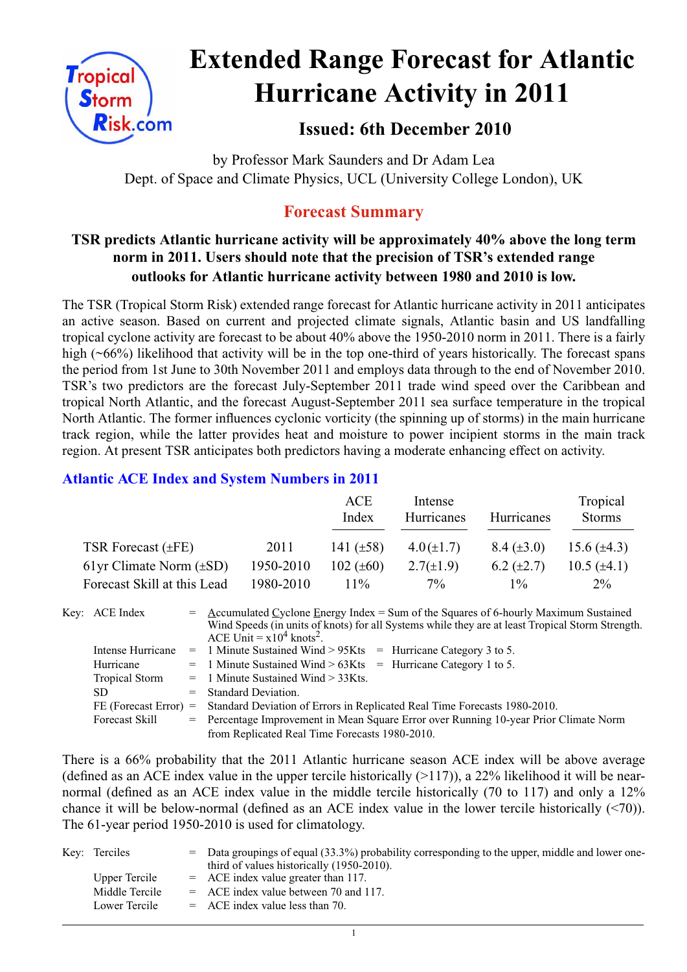

# **Extended Range Forecast for Atlantic Hurricane Activity in 2011**

# **Issued: 6th December 2010**

by Professor Mark Saunders and Dr Adam Lea Dept. of Space and Climate Physics, UCL (University College London), UK

# **Forecast Summary**

# **TSR predicts Atlantic hurricane activity will be approximately 40% above the long term norm in 2011. Users should note that the precision of TSR's extended range outlooks for Atlantic hurricane activity between 1980 and 2010 is low.**

The TSR (Tropical Storm Risk) extended range forecast for Atlantic hurricane activity in 2011 anticipates an active season. Based on current and projected climate signals, Atlantic basin and US landfalling tropical cyclone activity are forecast to be about 40% above the 1950-2010 norm in 2011. There is a fairly high (~66%) likelihood that activity will be in the top one-third of years historically. The forecast spans the period from 1st June to 30th November 2011 and employs data through to the end of November 2010. TSR's two predictors are the forecast July-September 2011 trade wind speed over the Caribbean and tropical North Atlantic, and the forecast August-September 2011 sea surface temperature in the tropical North Atlantic. The former influences cyclonic vorticity (the spinning up of storms) in the main hurricane track region, while the latter provides heat and moisture to power incipient storms in the main track region. At present TSR anticipates both predictors having a moderate enhancing effect on activity.

### **Atlantic ACE Index and System Numbers in 2011**

|                               |           | ACE<br>Index   | Intense<br>Hurricanes | Hurricanes        | Tropical<br><b>Storms</b> |
|-------------------------------|-----------|----------------|-----------------------|-------------------|---------------------------|
| TSR Forecast $(\pm FE)$       | 2011      | 141 $(\pm 58)$ | $4.0(\pm 1.7)$        | $8.4 \ (\pm 3.0)$ | 15.6 $(\pm 4.3)$          |
| 61 yr Climate Norm $(\pm SD)$ | 1950-2010 | 102 $(\pm 60)$ | $2.7(\pm 1.9)$        | 6.2 $(\pm 2.7)$   | $10.5 (\pm 4.1)$          |
| Forecast Skill at this Lead   | 1980-2010 | $11\%$         | $7\%$                 | $1\%$             | $2\%$                     |

Key: ACE Index = Accumulated Cyclone Energy Index = Sum of the Squares of 6-hourly Maximum Sustained Wind Speeds (in units of knots) for all Systems while they are at least Tropical Storm Strength. ACE Unit =  $x10^4$  knots<sup>2</sup>. Intense Hurricane = 1 Minute Sustained Wind > 95Kts = Hurricane Category 3 to 5. Hurricane  $= 1$  Minute Sustained Wind  $> 63K$ ts  $=$  Hurricane Category 1 to 5. Tropical Storm = 1 Minute Sustained Wind > 33Kts. SD = Standard Deviation. FE (Forecast Error) = Standard Deviation of Errors in Replicated Real Time Forecasts 1980-2010. Forecast Skill = Percentage Improvement in Mean Square Error over Running 10-year Prior Climate Norm from Replicated Real Time Forecasts 1980-2010.

There is a 66% probability that the 2011 Atlantic hurricane season ACE index will be above average (defined as an ACE index value in the upper tercile historically  $(>117)$ ), a 22% likelihood it will be nearnormal (defined as an ACE index value in the middle tercile historically (70 to 117) and only a 12% chance it will be below-normal (defined as an ACE index value in the lower tercile historically (<70)). The 61-year period 1950-2010 is used for climatology.

| Key: Terciles  | $=$ Data groupings of equal (33.3%) probability corresponding to the upper, middle and lower one-<br>third of values historically (1950-2010). |
|----------------|------------------------------------------------------------------------------------------------------------------------------------------------|
| Upper Tercile  | $=$ ACE index value greater than 117.                                                                                                          |
| Middle Tercile | $=$ ACE index value between 70 and 117.                                                                                                        |
| Lower Tercile  | $=$ ACE index value less than 70.                                                                                                              |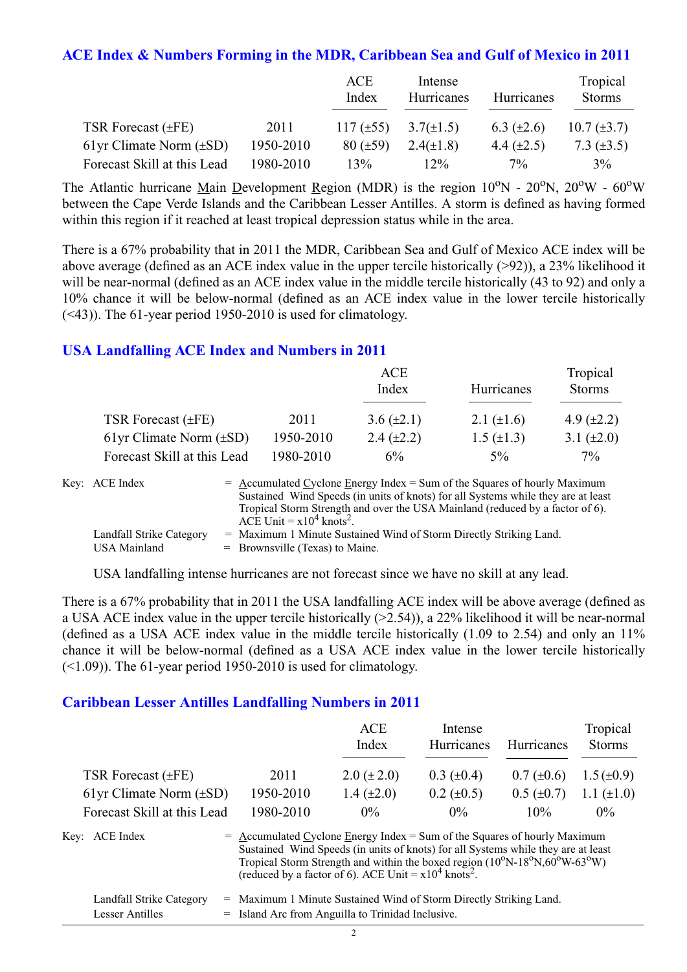#### **ACE Index & Numbers Forming in the MDR, Caribbean Sea and Gulf of Mexico in 2011**

|                              |           | ACE<br>Index   | Intense<br>Hurricanes | <b>Hurricanes</b> | Tropical<br><b>Storms</b> |
|------------------------------|-----------|----------------|-----------------------|-------------------|---------------------------|
| TSR Forecast $(\pm FE)$      | 2011      | $117 (\pm 55)$ | $3.7(\pm 1.5)$        | 6.3 $(\pm 2.6)$   | $10.7 \ (\pm 3.7)$        |
| 61yr Climate Norm $(\pm SD)$ | 1950-2010 | $80 (\pm 59)$  | $2.4(\pm 1.8)$        | 4.4 $(\pm 2.5)$   | 7.3 $(\pm 3.5)$           |
| Forecast Skill at this Lead  | 1980-2010 | 13%            | $12\%$                | $7\%$             | $3\%$                     |

The Atlantic hurricane Main Development Region (MDR) is the region  $10^{\circ}$ N -  $20^{\circ}$ N,  $20^{\circ}$ W -  $60^{\circ}$ W between the Cape Verde Islands and the Caribbean Lesser Antilles. A storm is defined as having formed within this region if it reached at least tropical depression status while in the area.

There is a 67% probability that in 2011 the MDR, Caribbean Sea and Gulf of Mexico ACE index will be above average (defined as an ACE index value in the upper tercile historically (>92)), a 23% likelihood it will be near-normal (defined as an ACE index value in the middle tercile historically (43 to 92) and only a 10% chance it will be below-normal (defined as an ACE index value in the lower tercile historically (<43)). The 61-year period 1950-2010 is used for climatology.

#### **USA Landfalling ACE Index and Numbers in 2011**

|                              |           | ACE<br>Index    | Hurricanes        | Tropical<br><b>Storms</b> |
|------------------------------|-----------|-----------------|-------------------|---------------------------|
| TSR Forecast $(\pm FE)$      | 2011      | 3.6 $(\pm 2.1)$ | 2.1 $(\pm 1.6)$   | 4.9 $(\pm 2.2)$           |
| 61yr Climate Norm $(\pm SD)$ | 1950-2010 | 2.4 $(\pm 2.2)$ | $1.5 \ (\pm 1.3)$ | 3.1 $(\pm 2.0)$           |
| Forecast Skill at this Lead  | 1980-2010 | 6%              | 5%                | $7\%$                     |

| Key: ACE Index           | $=$ Accumulated Cyclone Energy Index $=$ Sum of the Squares of hourly Maximum     |
|--------------------------|-----------------------------------------------------------------------------------|
|                          | Sustained Wind Speeds (in units of knots) for all Systems while they are at least |
|                          | Tropical Storm Strength and over the USA Mainland (reduced by a factor of 6).     |
|                          | ACE Unit = $x10^4$ knots <sup>2</sup> .                                           |
| Landfall Strike Category | = Maximum 1 Minute Sustained Wind of Storm Directly Striking Land.                |
| USA Mainland             | $=$ Brownsville (Texas) to Maine.                                                 |

USA landfalling intense hurricanes are not forecast since we have no skill at any lead.

There is a 67% probability that in 2011 the USA landfalling ACE index will be above average (defined as a USA ACE index value in the upper tercile historically (>2.54)), a 22% likelihood it will be near-normal (defined as a USA ACE index value in the middle tercile historically (1.09 to 2.54) and only an 11% chance it will be below-normal (defined as a USA ACE index value in the lower tercile historically  $(\leq 1.09)$ ). The 61-year period 1950-2010 is used for climatology.

#### **Caribbean Lesser Antilles Landfalling Numbers in 2011**

|                              |                                                                                                                                                                  | ACE<br>Index    | Intense<br>Hurricanes | Hurricanes        | Tropical<br><b>Storms</b> |
|------------------------------|------------------------------------------------------------------------------------------------------------------------------------------------------------------|-----------------|-----------------------|-------------------|---------------------------|
| TSR Forecast $(\pm FE)$      | 2011                                                                                                                                                             | $2.0 (\pm 2.0)$ | $0.3 \ (\pm 0.4)$     | $0.7 (\pm 0.6)$   | $1.5(\pm 0.9)$            |
| 61yr Climate Norm $(\pm SD)$ | 1950-2010                                                                                                                                                        | 1.4 $(\pm 2.0)$ | $0.2 \ (\pm 0.5)$     | $0.5 \ (\pm 0.7)$ | 1.1 $(\pm 1.0)$           |
| Forecast Skill at this Lead  | 1980-2010                                                                                                                                                        | $0\%$           | $0\%$                 | 10%               | $0\%$                     |
| Key: ACE Index               | $=$ Accumulated Cyclone Energy Index = Sum of the Squares of hourly Maximum<br>Sustained Wind Speeds (in units of knots) for all Systems while they are at least |                 |                       |                   |                           |

|                      | Tropical Storm Strength and within the boxed region $(10^{\circ}N-18^{\circ}N,60^{\circ}W-63^{\circ}W)$<br>(reduced by a factor of 6). ACE Unit = $x10^4$ knots <sup>2</sup> . |
|----------------------|--------------------------------------------------------------------------------------------------------------------------------------------------------------------------------|
| $11$ Strike Category | $\equiv$ Maximum 1 Minute Sustained Wind of Storm Directly Striking Land                                                                                                       |

| Landfall Strike Category | = Maximum 1 Minute Sustained Wind of Storm Directly Striking Land. |
|--------------------------|--------------------------------------------------------------------|
| Lesser Antilles          | = Island Arc from Anguilla to Trinidad Inclusive.                  |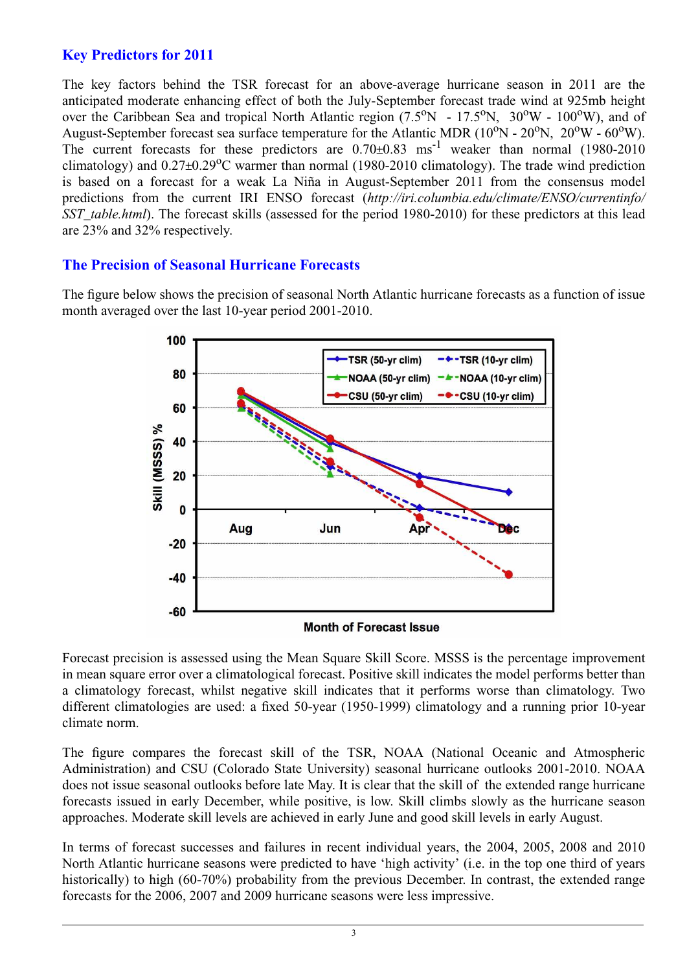## **Key Predictors for 2011**

The key factors behind the TSR forecast for an above-average hurricane season in 2011 are the anticipated moderate enhancing effect of both the July-September forecast trade wind at 925mb height over the Caribbean Sea and tropical North Atlantic region  $(7.5^{\circ}N - 17.5^{\circ}N, 30^{\circ}W - 100^{\circ}W)$ , and of August-September forecast sea surface temperature for the Atlantic MDR  $(10^{\circ}N - 20^{\circ}N, 20^{\circ}W - 60^{\circ}W)$ . The current forecasts for these predictors are  $0.70\pm0.83$  ms<sup>-1</sup> weaker than normal (1980-2010) climatology) and  $0.27\pm0.29^{\circ}$ C warmer than normal (1980-2010 climatology). The trade wind prediction is based on a forecast for a weak La Niña in August-September 2011 from the consensus model predictions from the current IRI ENSO forecast (*http://iri.columbia.edu/climate/ENSO/currentinfo/ SST\_table.html*). The forecast skills (assessed for the period 1980-2010) for these predictors at this lead are 23% and 32% respectively.

#### **The Precision of Seasonal Hurricane Forecasts**

The figure below shows the precision of seasonal North Atlantic hurricane forecasts as a function of issue month averaged over the last 10-year period 2001-2010.



Forecast precision is assessed using the Mean Square Skill Score. MSSS is the percentage improvement in mean square error over a climatological forecast. Positive skill indicates the model performs better than a climatology forecast, whilst negative skill indicates that it performs worse than climatology. Two different climatologies are used: a fixed 50-year (1950-1999) climatology and a running prior 10-year climate norm.

The figure compares the forecast skill of the TSR, NOAA (National Oceanic and Atmospheric Administration) and CSU (Colorado State University) seasonal hurricane outlooks 2001-2010. NOAA does not issue seasonal outlooks before late May. It is clear that the skill of the extended range hurricane forecasts issued in early December, while positive, is low. Skill climbs slowly as the hurricane season approaches. Moderate skill levels are achieved in early June and good skill levels in early August.

In terms of forecast successes and failures in recent individual years, the 2004, 2005, 2008 and 2010 North Atlantic hurricane seasons were predicted to have 'high activity' (i.e. in the top one third of years historically) to high (60-70%) probability from the previous December. In contrast, the extended range forecasts for the 2006, 2007 and 2009 hurricane seasons were less impressive.